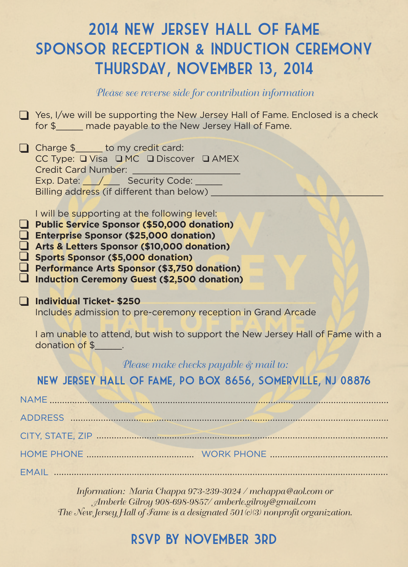# 2014 New Jersey Hall of Fame Sponsor Reception & Induction Ceremony Thursday, November 13, 2014

#### *Please see reverse side for contribution information*

 $\Box$  Yes, I/we will be supporting the New Jersey Hall of Fame. Enclosed is a check for \$ \_\_\_\_ made payable to the New Jersey Hall of Fame.

| $\Box$ Charge \$ to my credit card:<br>CC Type: Q Visa Q MC Q Discover Q AMEX<br><b>Credit Card Number:</b>                          |  |
|--------------------------------------------------------------------------------------------------------------------------------------|--|
| Exp. Date: / Security Code:<br>Billing address (if different than below)                                                             |  |
| I will be supporting at the following level:<br>Public Service Sponsor (\$50,000 donation)<br>Enterprise Sponsor (\$25,000 donation) |  |

**Arts & Letters Sponsor (\$25,000 donation)**<br>4 Arts & Letters Sponsor (\$10,000 donation)  $\overline{\mathsf{q}}$ 

Sports Sponsor (\$5,000 donation)

**Performance Arts Sponsor (\$3,750 donation)** 

**Induction Ceremony Guest (\$2,500 donation)** 

#### **Individual Ticket- \$250** q

Includes admission to pre-ceremony reception in Grand Arcade

I am unable to attend, but wish to support the New Jersey Hall of Fame with a donation of \$\_\_\_\_\_.

#### *Please make checks payable & mail to:*

#### New Jersey Hall of Fame, PO Box 8656, Somerville, NJ 08876

*Information: Maria Chappa 973-239-3024 / mchappa @aol.com or Amberle Gilroy 908-698-9857/ amberle.gilroy@gmail.com The New Jersey Hall of Fame is a designated 501(c)(3) nonprofit organization.*

### RSVP BY november 3rd